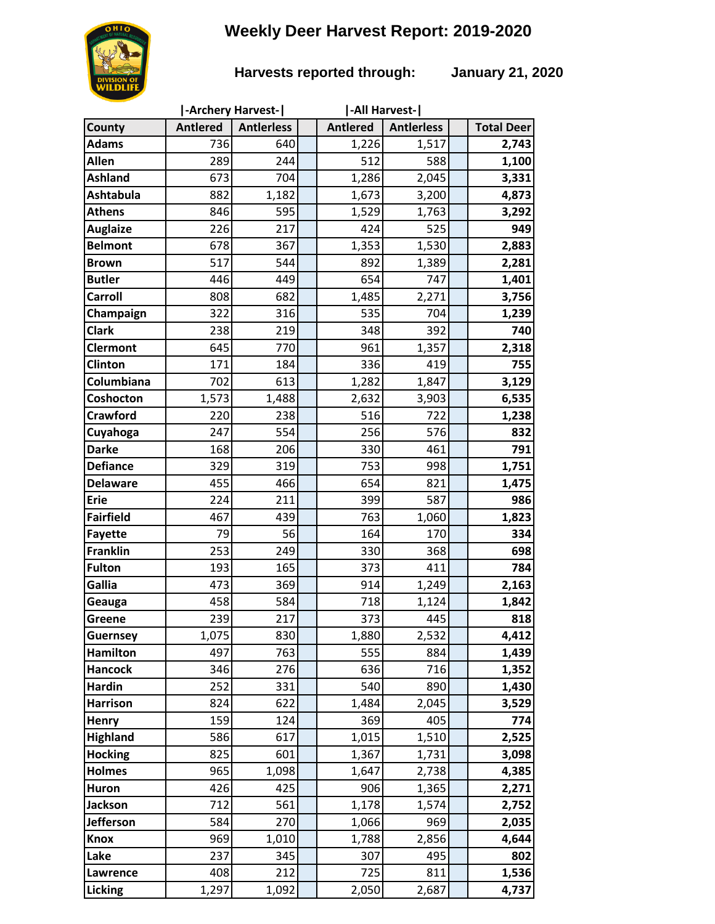# **Weekly Deer Harvest Report: 2019-2020**



### **Harvests reported through: January 21, 2020**

|                  |                 | -Archery Harvest- | -All Harvest-   |                   |  |                   |
|------------------|-----------------|-------------------|-----------------|-------------------|--|-------------------|
| County           | <b>Antlered</b> | <b>Antierless</b> | <b>Antlered</b> | <b>Antierless</b> |  | <b>Total Deer</b> |
| <b>Adams</b>     | 736             | 640               | 1,226           | 1,517             |  | 2,743             |
| Allen            | 289             | 244               | 512             | 588               |  | 1,100             |
| <b>Ashland</b>   | 673             | 704               | 1,286           | 2,045             |  | 3,331             |
| <b>Ashtabula</b> | 882             | 1,182             | 1,673           | 3,200             |  | 4,873             |
| <b>Athens</b>    | 846             | 595               | 1,529           | 1,763             |  | 3,292             |
| <b>Auglaize</b>  | 226             | 217               | 424             | 525               |  | 949               |
| <b>Belmont</b>   | 678             | 367               | 1,353           | 1,530             |  | 2,883             |
| <b>Brown</b>     | 517             | 544               | 892             | 1,389             |  | 2,281             |
| <b>Butler</b>    | 446             | 449               | 654             | 747               |  | 1,401             |
| <b>Carroll</b>   | 808             | 682               | 1,485           | 2,271             |  | 3,756             |
| Champaign        | 322             | 316               | 535             | 704               |  | 1,239             |
| <b>Clark</b>     | 238             | 219               | 348             | 392               |  | 740               |
| <b>Clermont</b>  | 645             | 770               | 961             | 1,357             |  | 2,318             |
| <b>Clinton</b>   | 171             | 184               | 336             | 419               |  | 755               |
| Columbiana       | 702             | 613               | 1,282           | 1,847             |  | 3,129             |
| Coshocton        | 1,573           | 1,488             | 2,632           | 3,903             |  | 6,535             |
| <b>Crawford</b>  | 220             | 238               | 516             | 722               |  | 1,238             |
| Cuyahoga         | 247             | 554               | 256             | 576               |  | 832               |
| <b>Darke</b>     | 168             | 206               | 330             | 461               |  | 791               |
| <b>Defiance</b>  | 329             | 319               | 753             | 998               |  | 1,751             |
| <b>Delaware</b>  | 455             | 466               | 654             | 821               |  | 1,475             |
| <b>Erie</b>      | 224             | 211               | 399             | 587               |  | 986               |
| <b>Fairfield</b> | 467             | 439               | 763             | 1,060             |  | 1,823             |
| <b>Fayette</b>   | 79              | 56                | 164             | 170               |  | 334               |
| <b>Franklin</b>  | 253             | 249               | 330             | 368               |  | 698               |
| <b>Fulton</b>    | 193             | 165               | 373             | 411               |  | 784               |
| Gallia           | 473             | 369               | 914             | 1,249             |  | 2,163             |
| Geauga           | 458             | 584               | 718             | 1,124             |  | 1,842             |
| Greene           | 239             | 217               | 373             | 445               |  | 818               |
| <b>Guernsey</b>  | 1,075           | 830               | 1,880           | 2,532             |  | 4,412             |
| <b>Hamilton</b>  | 497             | 763               | 555             | 884               |  | 1,439             |
| <b>Hancock</b>   | 346             | 276               | 636             | 716               |  | 1,352             |
| <b>Hardin</b>    | 252             | 331               | 540             | 890               |  | 1,430             |
| <b>Harrison</b>  | 824             | 622               | 1,484           | 2,045             |  | 3,529             |
| <b>Henry</b>     | 159             | 124               | 369             | 405               |  | 774               |
| <b>Highland</b>  | 586             | 617               | 1,015           | 1,510             |  | 2,525             |
| <b>Hocking</b>   | 825             | 601               | 1,367           | 1,731             |  | 3,098             |
| <b>Holmes</b>    | 965             | 1,098             | 1,647           | 2,738             |  | 4,385             |
| <b>Huron</b>     | 426             | 425               | 906             | 1,365             |  | 2,271             |
| <b>Jackson</b>   | 712             | 561               | 1,178           | 1,574             |  | 2,752             |
| <b>Jefferson</b> | 584             | 270               | 1,066           | 969               |  | 2,035             |
| <b>Knox</b>      | 969             | 1,010             | 1,788           | 2,856             |  | 4,644             |
| Lake             | 237<br>408      | 345<br>212        | 307<br>725      | 495<br>811        |  | 802               |
| Lawrence         |                 |                   |                 |                   |  | 1,536             |
| Licking          | 1,297           | 1,092             | 2,050           | 2,687             |  | 4,737             |